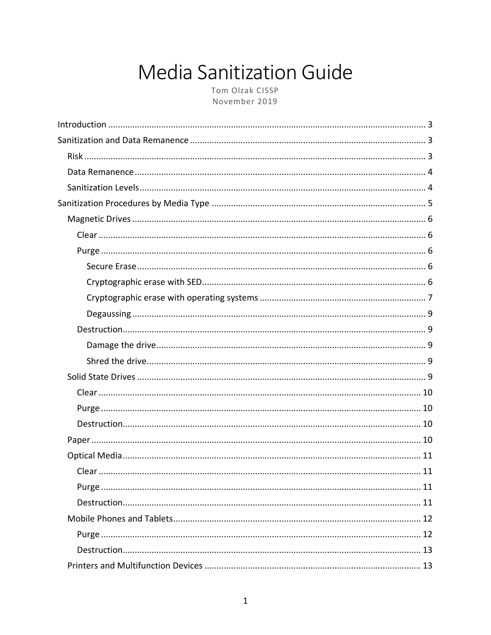# **Media Sanitization Guide**

Tom Olzak CISSP November 2019

<span id="page-0-0"></span>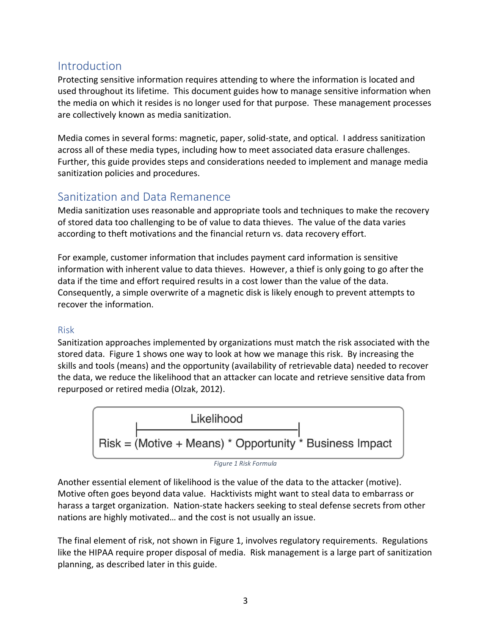# <span id="page-2-0"></span>Introduction

Protecting sensitive information requires attending to where the information is located and used throughout its lifetime. This document guides how to manage sensitive information when the media on which it resides is no longer used for that purpose. These management processes are collectively known as media sanitization.

Media comes in several forms: magnetic, paper, solid-state, and optical. I address sanitization across all of these media types, including how to meet associated data erasure challenges. Further, this guide provides steps and considerations needed to implement and manage media sanitization policies and procedures.

# <span id="page-2-1"></span>Sanitization and Data Remanence

Media sanitization uses reasonable and appropriate tools and techniques to make the recovery of stored data too challenging to be of value to data thieves. The value of the data varies according to theft motivations and the financial return vs. data recovery effort.

For example, customer information that includes payment card information is sensitive information with inherent value to data thieves. However, a thief is only going to go after the data if the time and effort required results in a cost lower than the value of the data. Consequently, a simple overwrite of a magnetic disk is likely enough to prevent attempts to recover the information.

## <span id="page-2-2"></span>Risk

Sanitization approaches implemented by organizations must match the risk associated with the stored data. Figure 1 shows one way to look at how we manage this risk. By increasing the skills and tools (means) and the opportunity (availability of retrievable data) needed to recover the data, we reduce the likelihood that an attacker can locate and retrieve sensitive data from repurposed or retired media (Olzak, 2012).



*Figure 1 Risk Formula*

<span id="page-2-3"></span>Another essential element of likelihood is the value of the data to the attacker (motive). Motive often goes beyond data value. Hacktivists might want to steal data to embarrass or harass a target organization. Nation-state hackers seeking to steal defense secrets from other nations are highly motivated… and the cost is not usually an issue.

The final element of risk, not shown in Figure 1, involves regulatory requirements. Regulations like the HIPAA require proper disposal of media. Risk management is a large part of sanitization planning, as described later in this guide.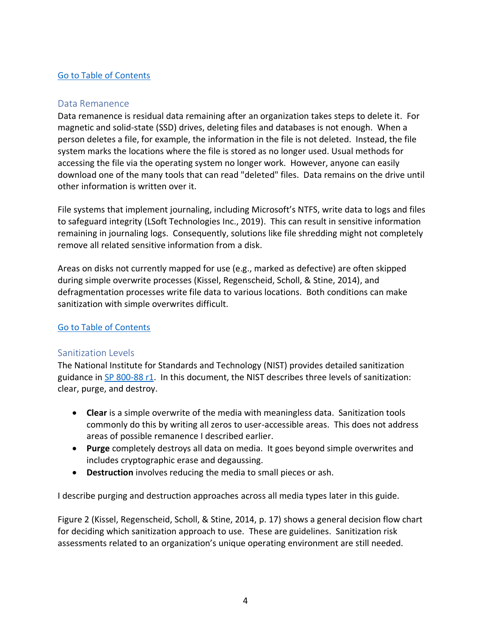## [Go to Table of Contents](#page-0-0)

#### <span id="page-3-0"></span>Data Remanence

Data remanence is residual data remaining after an organization takes steps to delete it. For magnetic and solid-state (SSD) drives, deleting files and databases is not enough. When a person deletes a file, for example, the information in the file is not deleted. Instead, the file system marks the locations where the file is stored as no longer used. Usual methods for accessing the file via the operating system no longer work. However, anyone can easily download one of the many tools that can read "deleted" files. Data remains on the drive until other information is written over it.

File systems that implement journaling, including Microsoft's NTFS, write data to logs and files to safeguard integrity (LSoft Technologies Inc., 2019). This can result in sensitive information remaining in journaling logs. Consequently, solutions like file shredding might not completely remove all related sensitive information from a disk.

Areas on disks not currently mapped for use (e.g., marked as defective) are often skipped during simple overwrite processes (Kissel, Regenscheid, Scholl, & Stine, 2014), and defragmentation processes write file data to various locations. Both conditions can make sanitization with simple overwrites difficult.

## [Go to Table of Contents](#page-0-0)

#### <span id="page-3-1"></span>Sanitization Levels

The National Institute for Standards and Technology (NIST) provides detailed sanitization guidance in [SP 800-88 r1.](https://nvlpubs.nist.gov/nistpubs/SpecialPublications/NIST.SP.800-88r1.pdf) In this document, the NIST describes three levels of sanitization: clear, purge, and destroy.

- **Clear** is a simple overwrite of the media with meaningless data. Sanitization tools commonly do this by writing all zeros to user-accessible areas. This does not address areas of possible remanence I described earlier.
- **Purge** completely destroys all data on media. It goes beyond simple overwrites and includes cryptographic erase and degaussing.
- **Destruction** involves reducing the media to small pieces or ash.

I describe purging and destruction approaches across all media types later in this guide.

Figure 2 (Kissel, Regenscheid, Scholl, & Stine, 2014, p. 17) shows a general decision flow chart for deciding which sanitization approach to use. These are guidelines. Sanitization risk assessments related to an organization's unique operating environment are still needed.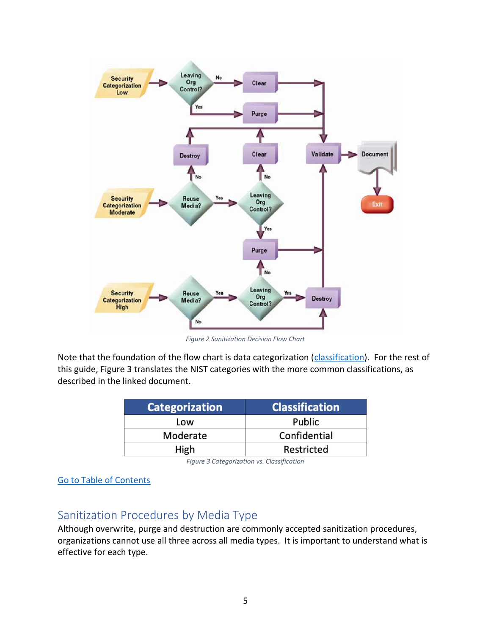

*Figure 2 Sanitization Decision Flow Chart*

<span id="page-4-1"></span>Note that the foundation of the flow chart is data categorization (*classification*). For the rest of this guide, Figure 3 translates the NIST categories with the more common classifications, as described in the linked document.

| <b>Categorization</b> | <b>Classification</b> |
|-----------------------|-----------------------|
| Low                   | Public                |
| Moderate              | Confidential          |
| High                  | Restricted            |

*Figure 3 Categorization vs. Classification*

<span id="page-4-2"></span>[Go to Table of Contents](#page-0-0)

# <span id="page-4-0"></span>Sanitization Procedures by Media Type

Although overwrite, purge and destruction are commonly accepted sanitization procedures, organizations cannot use all three across all media types. It is important to understand what is effective for each type.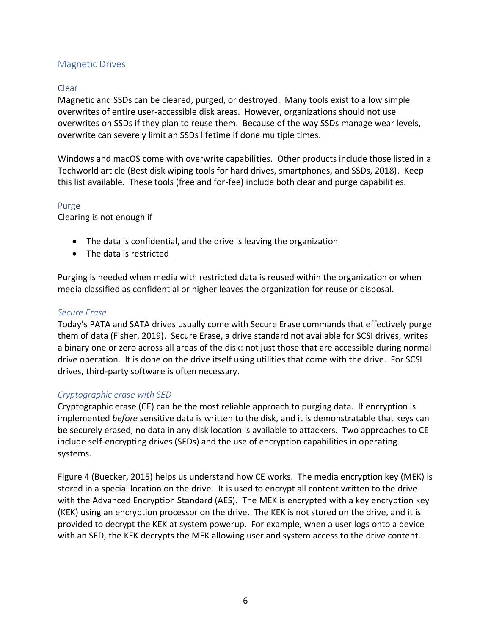## <span id="page-5-0"></span>Magnetic Drives

## <span id="page-5-1"></span>Clear

Magnetic and SSDs can be cleared, purged, or destroyed. Many tools exist to allow simple overwrites of entire user-accessible disk areas. However, organizations should not use overwrites on SSDs if they plan to reuse them. Because of the way SSDs manage wear levels, overwrite can severely limit an SSDs lifetime if done multiple times.

Windows and macOS come with overwrite capabilities. Other products include those listed in a Techworld article (Best disk wiping tools for hard drives, smartphones, and SSDs, 2018). Keep this list available. These tools (free and for-fee) include both clear and purge capabilities.

#### <span id="page-5-2"></span>Purge

Clearing is not enough if

- The data is confidential, and the drive is leaving the organization
- The data is restricted

Purging is needed when media with restricted data is reused within the organization or when media classified as confidential or higher leaves the organization for reuse or disposal.

#### <span id="page-5-3"></span>*Secure Erase*

Today's PATA and SATA drives usually come with Secure Erase commands that effectively purge them of data (Fisher, 2019). Secure Erase, a drive standard not available for SCSI drives, writes a binary one or zero across all areas of the disk: not just those that are accessible during normal drive operation. It is done on the drive itself using utilities that come with the drive. For SCSI drives, third-party software is often necessary.

#### <span id="page-5-4"></span>*Cryptographic erase with SED*

Cryptographic erase (CE) can be the most reliable approach to purging data. If encryption is implemented *before* sensitive data is written to the disk, and it is demonstratable that keys can be securely erased, no data in any disk location is available to attackers. Two approaches to CE include self-encrypting drives (SEDs) and the use of encryption capabilities in operating systems.

Figure 4 (Buecker, 2015) helps us understand how CE works. The media encryption key (MEK) is stored in a special location on the drive. It is used to encrypt all content written to the drive with the Advanced Encryption Standard (AES). The MEK is encrypted with a key encryption key (KEK) using an encryption processor on the drive. The KEK is not stored on the drive, and it is provided to decrypt the KEK at system powerup. For example, when a user logs onto a device with an SED, the KEK decrypts the MEK allowing user and system access to the drive content.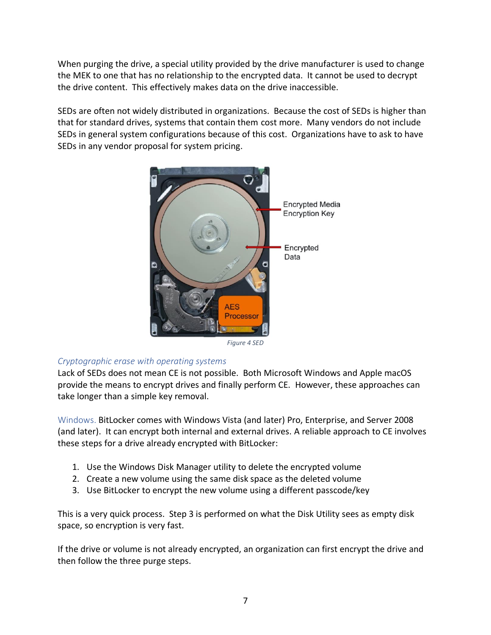When purging the drive, a special utility provided by the drive manufacturer is used to change the MEK to one that has no relationship to the encrypted data. It cannot be used to decrypt the drive content. This effectively makes data on the drive inaccessible.

SEDs are often not widely distributed in organizations. Because the cost of SEDs is higher than that for standard drives, systems that contain them cost more. Many vendors do not include SEDs in general system configurations because of this cost. Organizations have to ask to have SEDs in any vendor proposal for system pricing.



*Figure 4 SED*

#### <span id="page-6-1"></span><span id="page-6-0"></span>*Cryptographic erase with operating systems*

Lack of SEDs does not mean CE is not possible. Both Microsoft Windows and Apple macOS provide the means to encrypt drives and finally perform CE. However, these approaches can take longer than a simple key removal.

Windows. BitLocker comes with Windows Vista (and later) Pro, Enterprise, and Server 2008 (and later). It can encrypt both internal and external drives. A reliable approach to CE involves these steps for a drive already encrypted with BitLocker:

- 1. Use the Windows Disk Manager utility to delete the encrypted volume
- 2. Create a new volume using the same disk space as the deleted volume
- 3. Use BitLocker to encrypt the new volume using a different passcode/key

This is a very quick process. Step 3 is performed on what the Disk Utility sees as empty disk space, so encryption is very fast.

If the drive or volume is not already encrypted, an organization can first encrypt the drive and then follow the three purge steps.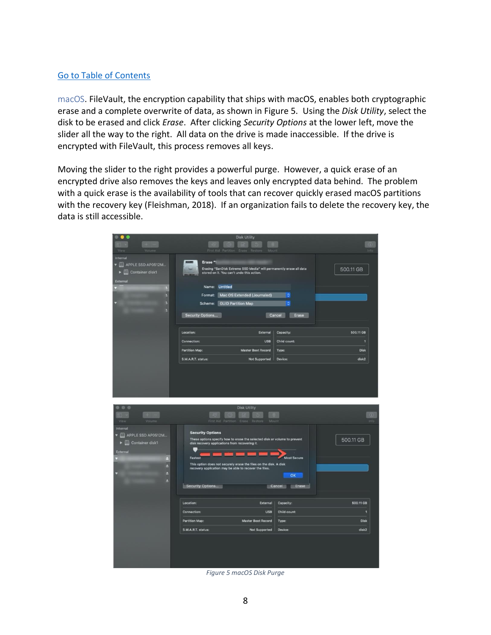#### [Go to Table of Contents](#page-0-0)

macOS. FileVault, the encryption capability that ships with macOS, enables both cryptographic erase and a complete overwrite of data, as shown in Figure 5. Using the *Disk Utility*, select the disk to be erased and click *Erase*. After clicking *Security Options* at the lower left, move the slider all the way to the right. All data on the drive is made inaccessible. If the drive is encrypted with FileVault, this process removes all keys.

Moving the slider to the right provides a powerful purge. However, a quick erase of an encrypted drive also removes the keys and leaves only encrypted data behind. The problem with a quick erase is the availability of tools that can recover quickly erased macOS partitions with the recovery key (Fleishman, 2018). If an organization fails to delete the recovery key, the data is still accessible.

| Volume<br>Viev                                                                                    | <b>Disk Utility</b><br>m<br>First Aid Partition Erase<br>Restore<br>Mount                                                                                                                                                                                                                                                                                        | œ<br>Info            |
|---------------------------------------------------------------------------------------------------|------------------------------------------------------------------------------------------------------------------------------------------------------------------------------------------------------------------------------------------------------------------------------------------------------------------------------------------------------------------|----------------------|
| Internal<br><b>VEL APPLE SSD AP0512M</b><br><b>Container disk1</b><br>let.<br>в                   | Erase "<br>Erasing "SanDisk Extreme SSD Media" will permanently erase all data<br>stored on it. You can't undo this action.                                                                                                                                                                                                                                      | 500.11 GB            |
| External<br>в<br>٠<br>в<br>٥                                                                      | Name: Untitled<br>Format: Mac OS Extended (Journaled)<br>G<br><b>Scheme:</b> GUID Partition Map<br>ć                                                                                                                                                                                                                                                             |                      |
|                                                                                                   | Security Options<br>Cancel<br>Erase                                                                                                                                                                                                                                                                                                                              |                      |
|                                                                                                   | Location:<br>External<br>Capacity:                                                                                                                                                                                                                                                                                                                               | 500.11 GB            |
|                                                                                                   | <b>USB</b><br>Child count:<br>Connection:<br><b>Partition Map:</b><br><b>Master Boot Record</b><br>Type:                                                                                                                                                                                                                                                         | 1<br><b>Disk</b>     |
|                                                                                                   | S.M.A.R.T. status:<br><b>Not Supported</b><br>Device:                                                                                                                                                                                                                                                                                                            | disk2                |
| Volumi<br>View                                                                                    | <b>Disk Utility</b><br>m<br>First Aid Partition<br>Mount<br>Erase<br>Restore                                                                                                                                                                                                                                                                                     | G)<br>Info           |
| Internal<br>APPLE SSD AP0512M<br>Container disk1<br>$>$ $\lbrack$<br>External<br>Ξ<br>Ξ<br>۸<br>٠ | <b>Security Options</b><br>These options specify how to erase the selected disk or volume to prevent<br>disk recovery applications from recovering it.<br><b>Most Secure</b><br>Fastest<br>This option does not securely erase the files on the disk. A disk<br>recovery application may be able to recover the files.<br>OK<br>Security Options<br>Cancel Erase | 500.11 GB            |
|                                                                                                   | Location:<br>External<br>Capacity:                                                                                                                                                                                                                                                                                                                               | 500.11 GB            |
|                                                                                                   | <b>USB</b><br>Child count:<br><b>Connection:</b>                                                                                                                                                                                                                                                                                                                 | п                    |
|                                                                                                   | <b>Partition Map:</b><br><b>Master Boot Record</b><br>Type:<br>S.M.A.R.T. status:<br><b>Not Supported</b><br>Device:                                                                                                                                                                                                                                             | <b>Disk</b><br>disk2 |
|                                                                                                   |                                                                                                                                                                                                                                                                                                                                                                  |                      |

<span id="page-7-0"></span>*Figure 5 macOS Disk Purge*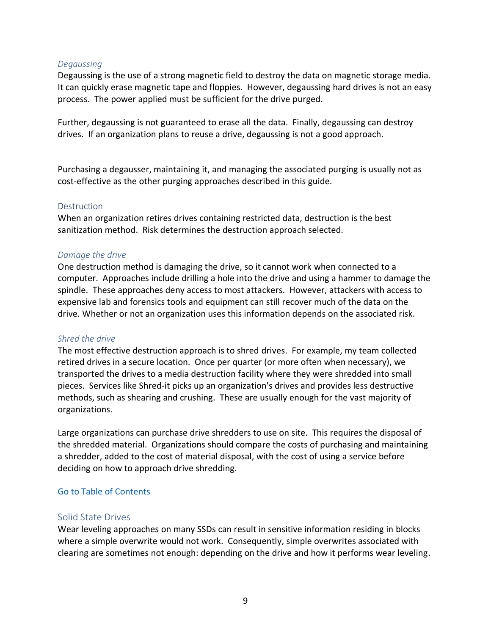#### <span id="page-8-0"></span>*Degaussing*

Degaussing is the use of a strong magnetic field to destroy the data on magnetic storage media. It can quickly erase magnetic tape and floppies. However, degaussing hard drives is not an easy process. The power applied must be sufficient for the drive purged.

Further, degaussing is not guaranteed to erase all the data. Finally, degaussing can destroy drives. If an organization plans to reuse a drive, degaussing is not a good approach.

Purchasing a degausser, maintaining it, and managing the associated purging is usually not as cost-effective as the other purging approaches described in this guide.

#### <span id="page-8-1"></span>**Destruction**

When an organization retires drives containing restricted data, destruction is the best sanitization method. Risk determines the destruction approach selected.

#### <span id="page-8-2"></span>*Damage the drive*

One destruction method is damaging the drive, so it cannot work when connected to a computer. Approaches include drilling a hole into the drive and using a hammer to damage the spindle. These approaches deny access to most attackers. However, attackers with access to expensive lab and forensics tools and equipment can still recover much of the data on the drive. Whether or not an organization uses this information depends on the associated risk.

#### <span id="page-8-3"></span>*Shred the drive*

The most effective destruction approach is to shred drives. For example, my team collected retired drives in a secure location. Once per quarter (or more often when necessary), we transported the drives to a media destruction facility where they were shredded into small pieces. Services like Shred-it picks up an organization's drives and provides less destructive methods, such as shearing and crushing. These are usually enough for the vast majority of organizations.

Large organizations can purchase drive shredders to use on site. This requires the disposal of the shredded material. Organizations should compare the costs of purchasing and maintaining a shredder, added to the cost of material disposal, with the cost of using a service before deciding on how to approach drive shredding.

#### [Go to Table of Contents](#page-0-0)

#### <span id="page-8-4"></span>Solid State Drives

Wear leveling approaches on many SSDs can result in sensitive information residing in blocks where a simple overwrite would not work. Consequently, simple overwrites associated with clearing are sometimes not enough: depending on the drive and how it performs wear leveling.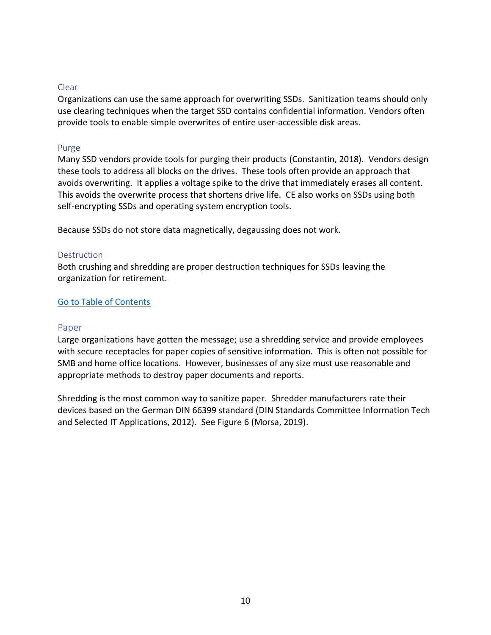#### <span id="page-9-0"></span>Clear

Organizations can use the same approach for overwriting SSDs. Sanitization teams should only use clearing techniques when the target SSD contains confidential information. Vendors often provide tools to enable simple overwrites of entire user-accessible disk areas.

#### <span id="page-9-1"></span>Purge

Many SSD vendors provide tools for purging their products (Constantin, 2018). Vendors design these tools to address all blocks on the drives. These tools often provide an approach that avoids overwriting. It applies a voltage spike to the drive that immediately erases all content. This avoids the overwrite process that shortens drive life. CE also works on SSDs using both self-encrypting SSDs and operating system encryption tools.

Because SSDs do not store data magnetically, degaussing does not work.

#### <span id="page-9-2"></span>**Destruction**

Both crushing and shredding are proper destruction techniques for SSDs leaving the organization for retirement.

#### [Go to Table of Contents](#page-0-0)

#### <span id="page-9-3"></span>Paper

Large organizations have gotten the message; use a shredding service and provide employees with secure receptacles for paper copies of sensitive information. This is often not possible for SMB and home office locations. However, businesses of any size must use reasonable and appropriate methods to destroy paper documents and reports.

Shredding is the most common way to sanitize paper. Shredder manufacturers rate their devices based on the German DIN 66399 standard (DIN Standards Committee Information Tech and Selected IT Applications, 2012). See Figure 6 (Morsa, 2019).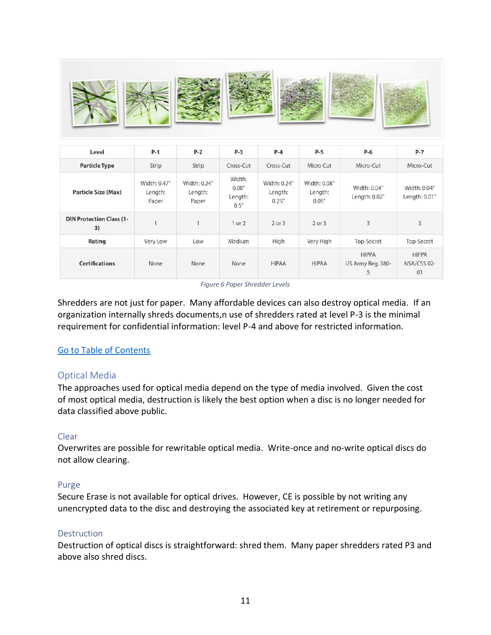|--|--|--|

| Level                                 | $P-1$                            | $P-2$                            | $P-3$                              | $P-4$                            | $P-5$                            | $P-6$                                  | $P-7$                             |
|---------------------------------------|----------------------------------|----------------------------------|------------------------------------|----------------------------------|----------------------------------|----------------------------------------|-----------------------------------|
| <b>Particle Type</b>                  | Strip                            | Strip                            | Cross-Cut                          | Cross-Cut                        | Micro Cut                        | Micro-Cut                              | Micro-Cut                         |
| <b>Particle Size (Max)</b>            | Width: 0.47"<br>Length:<br>Paper | Width: 0.24"<br>Length:<br>Paper | Width:<br>0.08"<br>Length:<br>0.5" | Width: 0.24"<br>Length:<br>0.25" | Width: 0.08"<br>Length:<br>0.05" | Width: 0.04"<br>Length: 0.02"          | Width: 0.04"<br>Length: 0.01"     |
| <b>DIN Protection Class (1-</b><br>3) |                                  |                                  | $1$ or $2$                         | $2$ or $3$                       | $2$ or $3$                       | 3                                      | 3                                 |
| Rating                                | Very Low                         | Low                              | Medium                             | High                             | Very High                        | Top-Secret                             | Top-Secret                        |
| <b>Certifications</b>                 | None                             | None                             | None                               | <b>HIPAA</b>                     | <b>HIPAA</b>                     | <b>HIPPA</b><br>US Army Reg. 380-<br>5 | <b>HIPPA</b><br>NSA/CSS 02-<br>01 |

*Figure 6 Paper Shredder Levels*

<span id="page-10-4"></span>Shredders are not just for paper. Many affordable devices can also destroy optical media. If an organization internally shreds documents,n use of shredders rated at level P-3 is the minimal requirement for confidential information: level P-4 and above for restricted information.

#### [Go to Table of Contents](#page-0-0)

#### <span id="page-10-0"></span>Optical Media

The approaches used for optical media depend on the type of media involved. Given the cost of most optical media, destruction is likely the best option when a disc is no longer needed for data classified above public.

#### <span id="page-10-1"></span>Clear

Overwrites are possible for rewritable optical media. Write-once and no-write optical discs do not allow clearing.

#### <span id="page-10-2"></span>Purge

Secure Erase is not available for optical drives. However, CE is possible by not writing any unencrypted data to the disc and destroying the associated key at retirement or repurposing.

#### <span id="page-10-3"></span>**Destruction**

Destruction of optical discs is straightforward: shred them. Many paper shredders rated P3 and above also shred discs.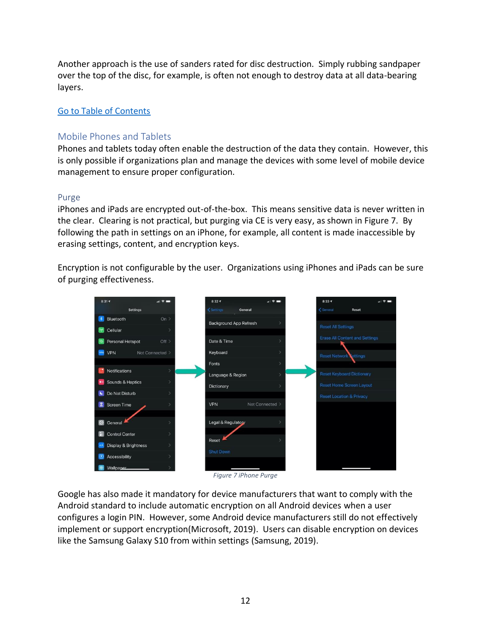Another approach is the use of sanders rated for disc destruction. Simply rubbing sandpaper over the top of the disc, for example, is often not enough to destroy data at all data-bearing layers.

## [Go to Table of Contents](#page-0-0)

## <span id="page-11-0"></span>Mobile Phones and Tablets

Phones and tablets today often enable the destruction of the data they contain. However, this is only possible if organizations plan and manage the devices with some level of mobile device management to ensure proper configuration.

#### <span id="page-11-1"></span>Purge

iPhones and iPads are encrypted out-of-the-box. This means sensitive data is never written in the clear. Clearing is not practical, but purging via CE is very easy, as shown in Figure 7. By following the path in settings on an iPhone, for example, all content is made inaccessible by erasing settings, content, and encryption keys.

Encryption is not configurable by the user. Organizations using iPhones and iPads can be sure of purging effectiveness.



*Figure 7 iPhone Purge*

<span id="page-11-2"></span>Google has also made it mandatory for device manufacturers that want to comply with the Android standard to include automatic encryption on all Android devices when a user configures a login PIN. However, some Android device manufacturers still do not effectively implement or support encryption(Microsoft, 2019). Users can disable encryption on devices like the Samsung Galaxy S10 from within settings (Samsung, 2019).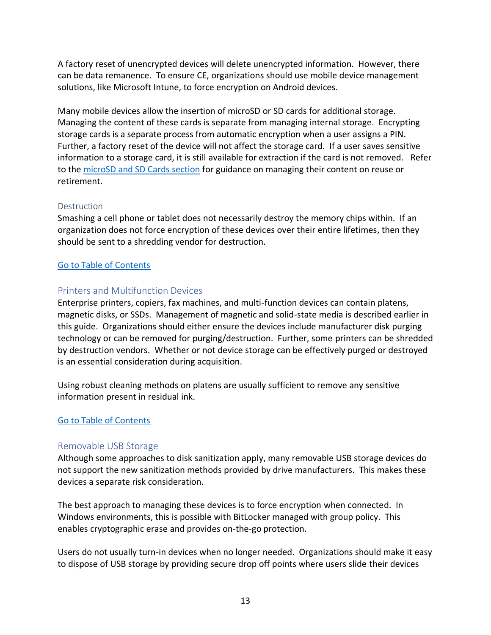A factory reset of unencrypted devices will delete unencrypted information. However, there can be data remanence. To ensure CE, organizations should use mobile device management solutions, like Microsoft Intune, to force encryption on Android devices.

Many mobile devices allow the insertion of microSD or SD cards for additional storage. Managing the content of these cards is separate from managing internal storage. Encrypting storage cards is a separate process from automatic encryption when a user assigns a PIN. Further, a factory reset of the device will not affect the storage card. If a user saves sensitive information to a storage card, it is still available for extraction if the card is not removed. Refer to the [microSD and SD Cards section](#page-13-0) for guidance on managing their content on reuse or retirement.

## <span id="page-12-0"></span>**Destruction**

Smashing a cell phone or tablet does not necessarily destroy the memory chips within. If an organization does not force encryption of these devices over their entire lifetimes, then they should be sent to a shredding vendor for destruction.

## [Go to Table of Contents](#page-0-0)

## <span id="page-12-1"></span>Printers and Multifunction Devices

Enterprise printers, copiers, fax machines, and multi-function devices can contain platens, magnetic disks, or SSDs. Management of magnetic and solid-state media is described earlier in this guide. Organizations should either ensure the devices include manufacturer disk purging technology or can be removed for purging/destruction. Further, some printers can be shredded by destruction vendors. Whether or not device storage can be effectively purged or destroyed is an essential consideration during acquisition.

Using robust cleaning methods on platens are usually sufficient to remove any sensitive information present in residual ink.

## [Go to Table of Contents](#page-0-0)

## <span id="page-12-2"></span>Removable USB Storage

Although some approaches to disk sanitization apply, many removable USB storage devices do not support the new sanitization methods provided by drive manufacturers. This makes these devices a separate risk consideration.

The best approach to managing these devices is to force encryption when connected. In Windows environments, this is possible with BitLocker managed with group policy. This enables cryptographic erase and provides on-the-go protection.

Users do not usually turn-in devices when no longer needed. Organizations should make it easy to dispose of USB storage by providing secure drop off points where users slide their devices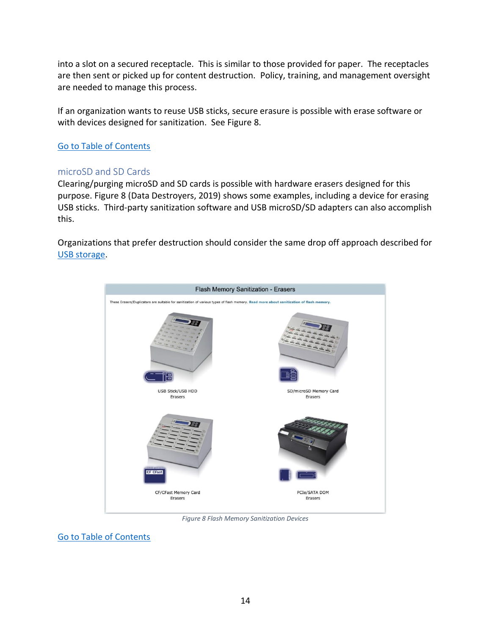into a slot on a secured receptacle. This is similar to those provided for paper. The receptacles are then sent or picked up for content destruction. Policy, training, and management oversight are needed to manage this process.

If an organization wants to reuse USB sticks, secure erasure is possible with erase software or with devices designed for sanitization. See Figure 8.

## [Go to Table of Contents](#page-0-0)

## <span id="page-13-0"></span>microSD and SD Cards

Clearing/purging microSD and SD cards is possible with hardware erasers designed for this purpose. Figure 8 (Data Destroyers, 2019) shows some examples, including a device for erasing USB sticks. Third-party sanitization software and USB microSD/SD adapters can also accomplish this.

Organizations that prefer destruction should consider the same drop off approach described for [USB storage.](#page-12-2)



*Figure 8 Flash Memory Sanitization Devices*

<span id="page-13-1"></span>[Go to Table of Contents](#page-0-0)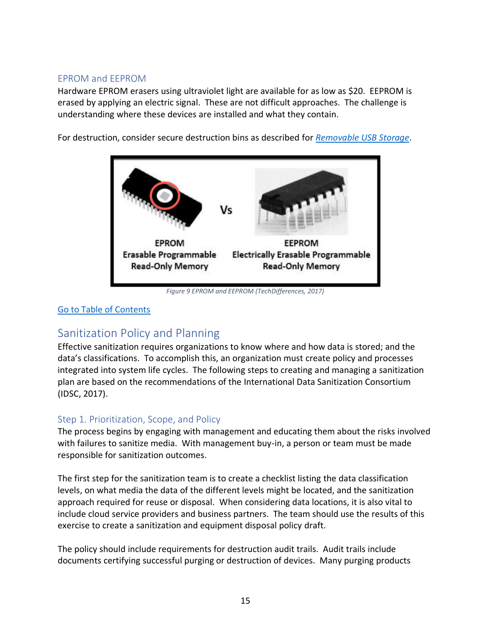## <span id="page-14-0"></span>EPROM and EEPROM

Hardware EPROM erasers using ultraviolet light are available for as low as \$20. EEPROM is erased by applying an electric signal. These are not difficult approaches. The challenge is understanding where these devices are installed and what they contain.

For destruction, consider secure destruction bins as described for *[Removable USB Storage](#page-12-2)*.



*Figure 9 EPROM and EEPROM (TechDifferences, 2017)*

## <span id="page-14-3"></span><span id="page-14-1"></span>[Go to Table of Contents](#page-0-0)

# Sanitization Policy and Planning

Effective sanitization requires organizations to know where and how data is stored; and the data's classifications. To accomplish this, an organization must create policy and processes integrated into system life cycles. The following steps to creating and managing a sanitization plan are based on the recommendations of the International Data Sanitization Consortium (IDSC, 2017).

## <span id="page-14-2"></span>Step 1. Prioritization, Scope, and Policy

The process begins by engaging with management and educating them about the risks involved with failures to sanitize media. With management buy-in, a person or team must be made responsible for sanitization outcomes.

The first step for the sanitization team is to create a checklist listing the data classification levels, on what media the data of the different levels might be located, and the sanitization approach required for reuse or disposal. When considering data locations, it is also vital to include cloud service providers and business partners. The team should use the results of this exercise to create a sanitization and equipment disposal policy draft.

The policy should include requirements for destruction audit trails. Audit trails include documents certifying successful purging or destruction of devices. Many purging products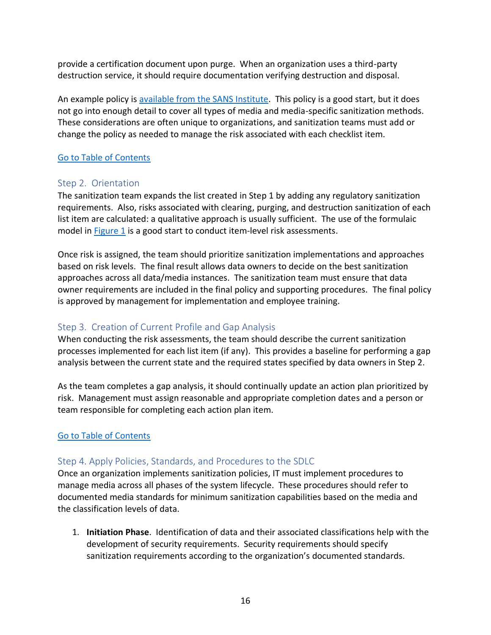provide a certification document upon purge. When an organization uses a third-party destruction service, it should require documentation verifying destruction and disposal.

An example policy is [available from the SANS Institute.](https://www.sans.org/security-resources/policies/server-security/pdf/technology-equipment-disposal-policy) This policy is a good start, but it does not go into enough detail to cover all types of media and media-specific sanitization methods. These considerations are often unique to organizations, and sanitization teams must add or change the policy as needed to manage the risk associated with each checklist item.

## [Go to Table of Contents](#page-0-0)

## <span id="page-15-0"></span>Step 2. Orientation

The sanitization team expands the list created in Step 1 by adding any regulatory sanitization requirements. Also, risks associated with clearing, purging, and destruction sanitization of each list item are calculated: a qualitative approach is usually sufficient. The use of the formulaic model in [Figure 1](#page-2-2) is a good start to conduct item-level risk assessments.

Once risk is assigned, the team should prioritize sanitization implementations and approaches based on risk levels. The final result allows data owners to decide on the best sanitization approaches across all data/media instances. The sanitization team must ensure that data owner requirements are included in the final policy and supporting procedures. The final policy is approved by management for implementation and employee training.

## <span id="page-15-1"></span>Step 3. Creation of Current Profile and Gap Analysis

When conducting the risk assessments, the team should describe the current sanitization processes implemented for each list item (if any). This provides a baseline for performing a gap analysis between the current state and the required states specified by data owners in Step 2.

As the team completes a gap analysis, it should continually update an action plan prioritized by risk. Management must assign reasonable and appropriate completion dates and a person or team responsible for completing each action plan item.

## [Go to Table of Contents](#page-0-0)

## <span id="page-15-2"></span>Step 4. Apply Policies, Standards, and Procedures to the SDLC

Once an organization implements sanitization policies, IT must implement procedures to manage media across all phases of the system lifecycle. These procedures should refer to documented media standards for minimum sanitization capabilities based on the media and the classification levels of data.

1. **Initiation Phase**. Identification of data and their associated classifications help with the development of security requirements. Security requirements should specify sanitization requirements according to the organization's documented standards.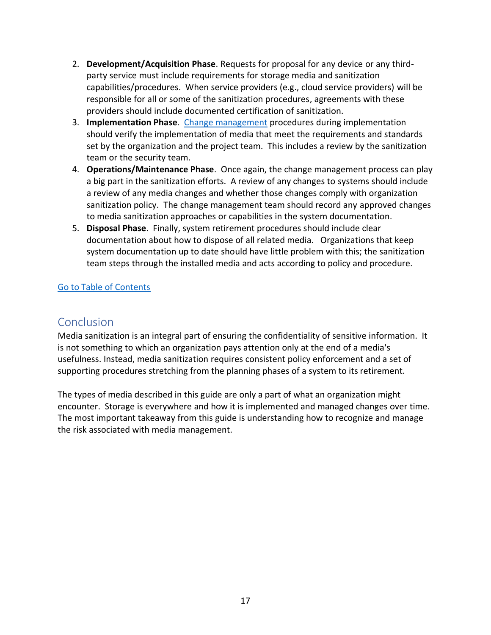- 2. **Development/Acquisition Phase**. Requests for proposal for any device or any thirdparty service must include requirements for storage media and sanitization capabilities/procedures. When service providers (e.g., cloud service providers) will be responsible for all or some of the sanitization procedures, agreements with these providers should include documented certification of sanitization.
- 3. **Implementation Phase**. [Change management](https://youtu.be/K6mMNQg9tUc) procedures during implementation should verify the implementation of media that meet the requirements and standards set by the organization and the project team. This includes a review by the sanitization team or the security team.
- 4. **Operations/Maintenance Phase**. Once again, the change management process can play a big part in the sanitization efforts. A review of any changes to systems should include a review of any media changes and whether those changes comply with organization sanitization policy. The change management team should record any approved changes to media sanitization approaches or capabilities in the system documentation.
- 5. **Disposal Phase**. Finally, system retirement procedures should include clear documentation about how to dispose of all related media. Organizations that keep system documentation up to date should have little problem with this; the sanitization team steps through the installed media and acts according to policy and procedure.

## [Go to Table of Contents](#page-0-0)

# <span id="page-16-0"></span>**Conclusion**

Media sanitization is an integral part of ensuring the confidentiality of sensitive information. It is not something to which an organization pays attention only at the end of a media's usefulness. Instead, media sanitization requires consistent policy enforcement and a set of supporting procedures stretching from the planning phases of a system to its retirement.

The types of media described in this guide are only a part of what an organization might encounter. Storage is everywhere and how it is implemented and managed changes over time. The most important takeaway from this guide is understanding how to recognize and manage the risk associated with media management.